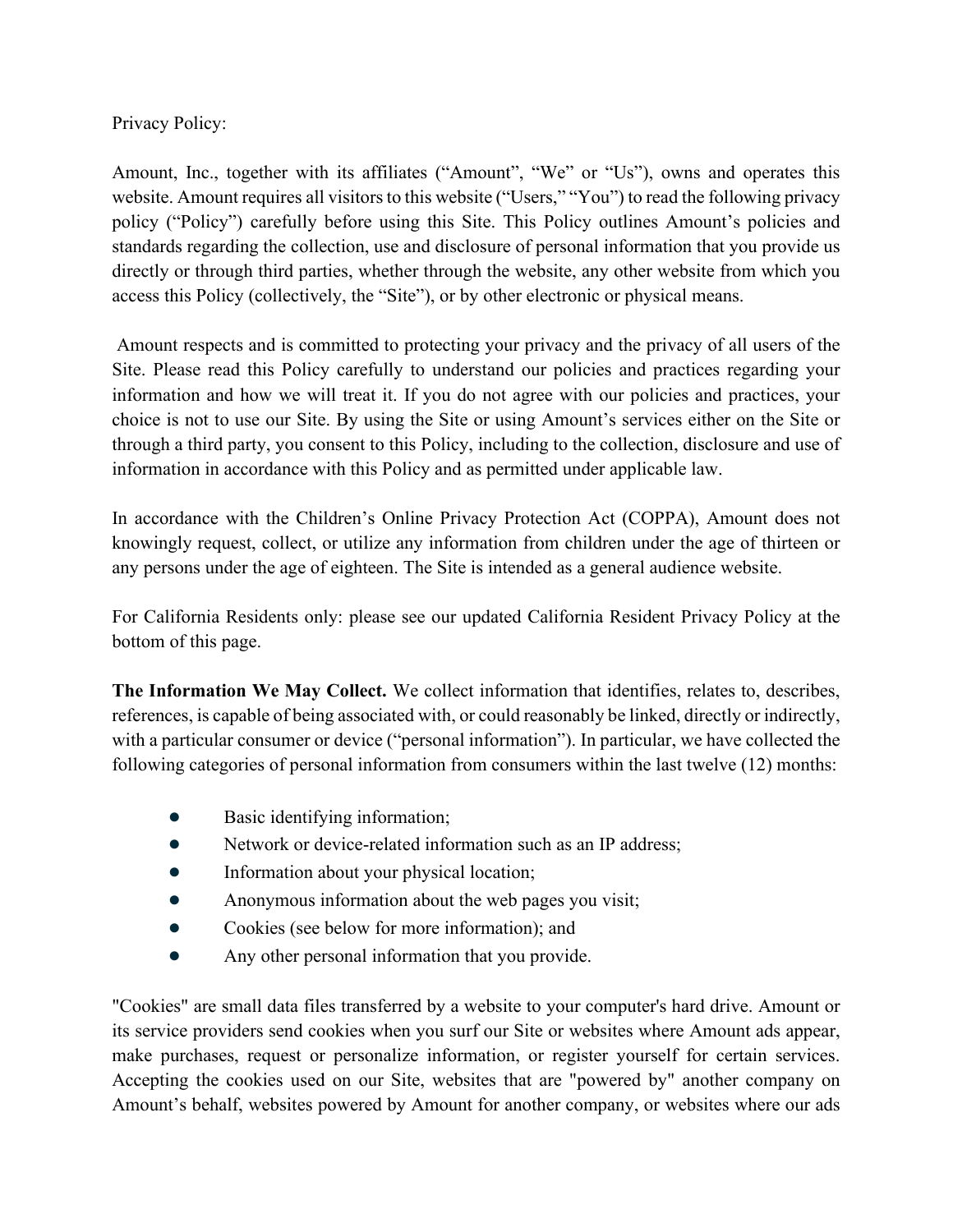## Privacy Policy:

Amount, Inc., together with its affiliates ("Amount", "We" or "Us"), owns and operates this website. Amount requires all visitors to this website ("Users," "You") to read the following privacy policy ("Policy") carefully before using this Site. This Policy outlines Amount's policies and standards regarding the collection, use and disclosure of personal information that you provide us directly or through third parties, whether through the website, any other website from which you access this Policy (collectively, the "Site"), or by other electronic or physical means.

Amount respects and is committed to protecting your privacy and the privacy of all users of the Site. Please read this Policy carefully to understand our policies and practices regarding your information and how we will treat it. If you do not agree with our policies and practices, your choice is not to use our Site. By using the Site or using Amount's services either on the Site or through a third party, you consent to this Policy, including to the collection, disclosure and use of information in accordance with this Policy and as permitted under applicable law.

In accordance with the Children's Online Privacy Protection Act (COPPA), Amount does not knowingly request, collect, or utilize any information from children under the age of thirteen or any persons under the age of eighteen. The Site is intended as a general audience website.

For California Residents only: please see our updated California Resident Privacy Policy at the bottom of this page.

**The Information We May Collect.** We collect information that identifies, relates to, describes, references, is capable of being associated with, or could reasonably be linked, directly or indirectly, with a particular consumer or device ("personal information"). In particular, we have collected the following categories of personal information from consumers within the last twelve (12) months:

- Basic identifying information;
- Network or device-related information such as an IP address;
- Information about your physical location;
- Anonymous information about the web pages you visit;
- Cookies (see below for more information); and
- Any other personal information that you provide.

"Cookies" are small data files transferred by a website to your computer's hard drive. Amount or its service providers send cookies when you surf our Site or websites where Amount ads appear, make purchases, request or personalize information, or register yourself for certain services. Accepting the cookies used on our Site, websites that are "powered by" another company on Amount's behalf, websites powered by Amount for another company, or websites where our ads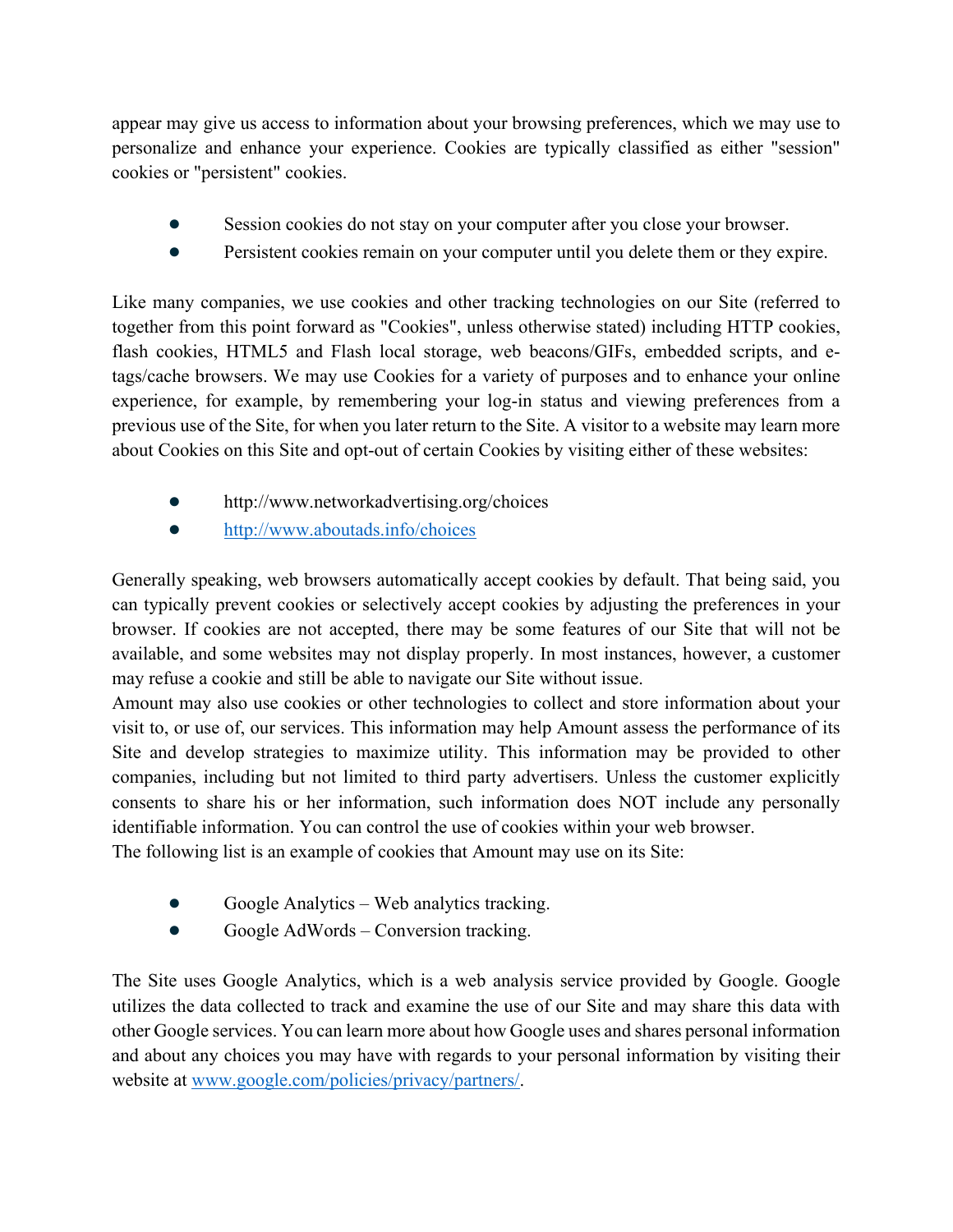appear may give us access to information about your browsing preferences, which we may use to personalize and enhance your experience. Cookies are typically classified as either "session" cookies or "persistent" cookies.

- Session cookies do not stay on your computer after you close your browser.
- Persistent cookies remain on your computer until you delete them or they expire.

Like many companies, we use cookies and other tracking technologies on our Site (referred to together from this point forward as "Cookies", unless otherwise stated) including HTTP cookies, flash cookies, HTML5 and Flash local storage, web beacons/GIFs, embedded scripts, and etags/cache browsers. We may use Cookies for a variety of purposes and to enhance your online experience, for example, by remembering your log-in status and viewing preferences from a previous use of the Site, for when you later return to the Site. A visitor to a website may learn more about Cookies on this Site and opt-out of certain Cookies by visiting either of these websites:

- http://www.networkadvertising.org/choices
- <http://www.aboutads.info/choices>

Generally speaking, web browsers automatically accept cookies by default. That being said, you can typically prevent cookies or selectively accept cookies by adjusting the preferences in your browser. If cookies are not accepted, there may be some features of our Site that will not be available, and some websites may not display properly. In most instances, however, a customer may refuse a cookie and still be able to navigate our Site without issue.

Amount may also use cookies or other technologies to collect and store information about your visit to, or use of, our services. This information may help Amount assess the performance of its Site and develop strategies to maximize utility. This information may be provided to other companies, including but not limited to third party advertisers. Unless the customer explicitly consents to share his or her information, such information does NOT include any personally identifiable information. You can control the use of cookies within your web browser.

The following list is an example of cookies that Amount may use on its Site:

- Google Analytics Web analytics tracking.
- Google AdWords Conversion tracking.

The Site uses Google Analytics, which is a web analysis service provided by Google. Google utilizes the data collected to track and examine the use of our Site and may share this data with other Google services. You can learn more about how Google uses and shares personal information and about any choices you may have with regards to your personal information by visiting their website at [www.google.com/policies/privacy/partners/.](http://www.google.com/policies/privacy/partners/)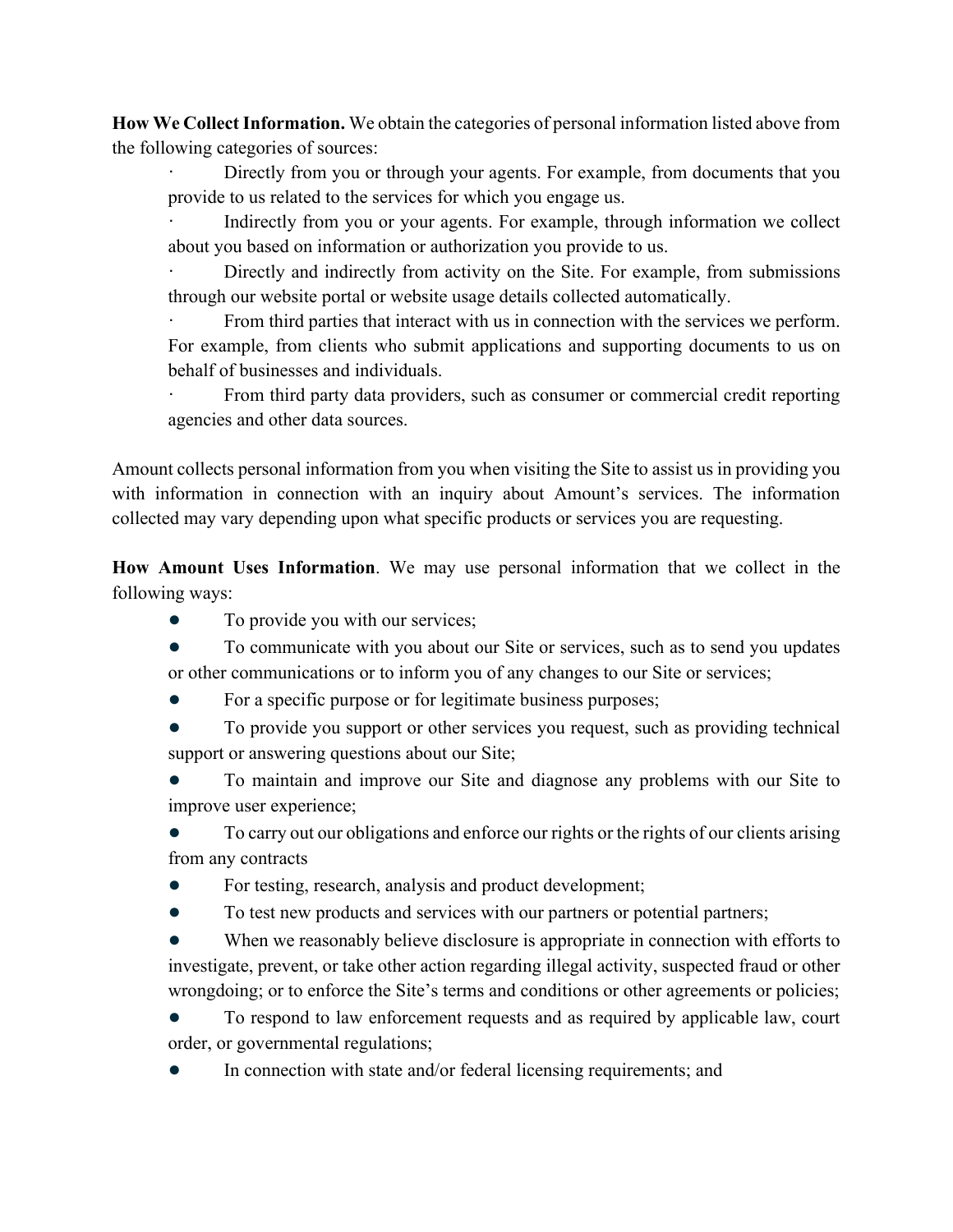**How We Collect Information.** We obtain the categories of personal information listed above from the following categories of sources:

Directly from you or through your agents. For example, from documents that you provide to us related to the services for which you engage us.

Indirectly from you or your agents. For example, through information we collect about you based on information or authorization you provide to us.

Directly and indirectly from activity on the Site. For example, from submissions through our website portal or website usage details collected automatically.

From third parties that interact with us in connection with the services we perform. For example, from clients who submit applications and supporting documents to us on behalf of businesses and individuals.

From third party data providers, such as consumer or commercial credit reporting agencies and other data sources.

Amount collects personal information from you when visiting the Site to assist us in providing you with information in connection with an inquiry about Amount's services. The information collected may vary depending upon what specific products or services you are requesting.

**How Amount Uses Information**. We may use personal information that we collect in the following ways:

- To provide you with our services;
- To communicate with you about our Site or services, such as to send you updates or other communications or to inform you of any changes to our Site or services;
- For a specific purpose or for legitimate business purposes;
- To provide you support or other services you request, such as providing technical support or answering questions about our Site;
- To maintain and improve our Site and diagnose any problems with our Site to improve user experience;

To carry out our obligations and enforce our rights or the rights of our clients arising from any contracts

- For testing, research, analysis and product development;
- To test new products and services with our partners or potential partners;

When we reasonably believe disclosure is appropriate in connection with efforts to investigate, prevent, or take other action regarding illegal activity, suspected fraud or other wrongdoing; or to enforce the Site's terms and conditions or other agreements or policies;

To respond to law enforcement requests and as required by applicable law, court order, or governmental regulations;

In connection with state and/or federal licensing requirements; and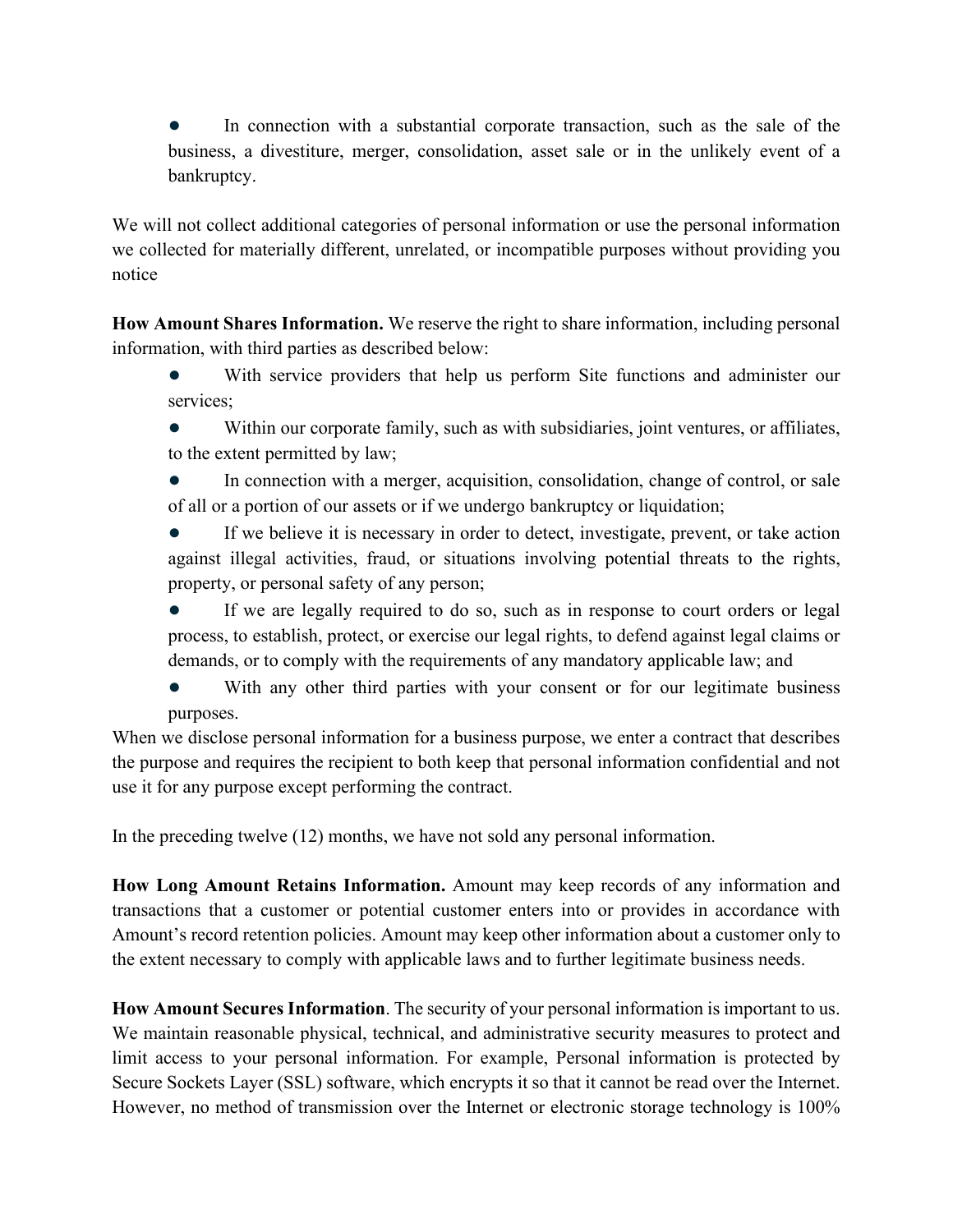In connection with a substantial corporate transaction, such as the sale of the business, a divestiture, merger, consolidation, asset sale or in the unlikely event of a bankruptcy.

We will not collect additional categories of personal information or use the personal information we collected for materially different, unrelated, or incompatible purposes without providing you notice

**How Amount Shares Information.** We reserve the right to share information, including personal information, with third parties as described below:

- With service providers that help us perform Site functions and administer our services;
- Within our corporate family, such as with subsidiaries, joint ventures, or affiliates, to the extent permitted by law;
- In connection with a merger, acquisition, consolidation, change of control, or sale of all or a portion of our assets or if we undergo bankruptcy or liquidation;
- If we believe it is necessary in order to detect, investigate, prevent, or take action against illegal activities, fraud, or situations involving potential threats to the rights, property, or personal safety of any person;
- If we are legally required to do so, such as in response to court orders or legal process, to establish, protect, or exercise our legal rights, to defend against legal claims or demands, or to comply with the requirements of any mandatory applicable law; and
- With any other third parties with your consent or for our legitimate business purposes.

When we disclose personal information for a business purpose, we enter a contract that describes the purpose and requires the recipient to both keep that personal information confidential and not use it for any purpose except performing the contract.

In the preceding twelve (12) months, we have not sold any personal information.

**How Long Amount Retains Information.** Amount may keep records of any information and transactions that a customer or potential customer enters into or provides in accordance with Amount's record retention policies. Amount may keep other information about a customer only to the extent necessary to comply with applicable laws and to further legitimate business needs.

**How Amount Secures Information**. The security of your personal information is important to us. We maintain reasonable physical, technical, and administrative security measures to protect and limit access to your personal information. For example, Personal information is protected by Secure Sockets Layer (SSL) software, which encrypts it so that it cannot be read over the Internet. However, no method of transmission over the Internet or electronic storage technology is 100%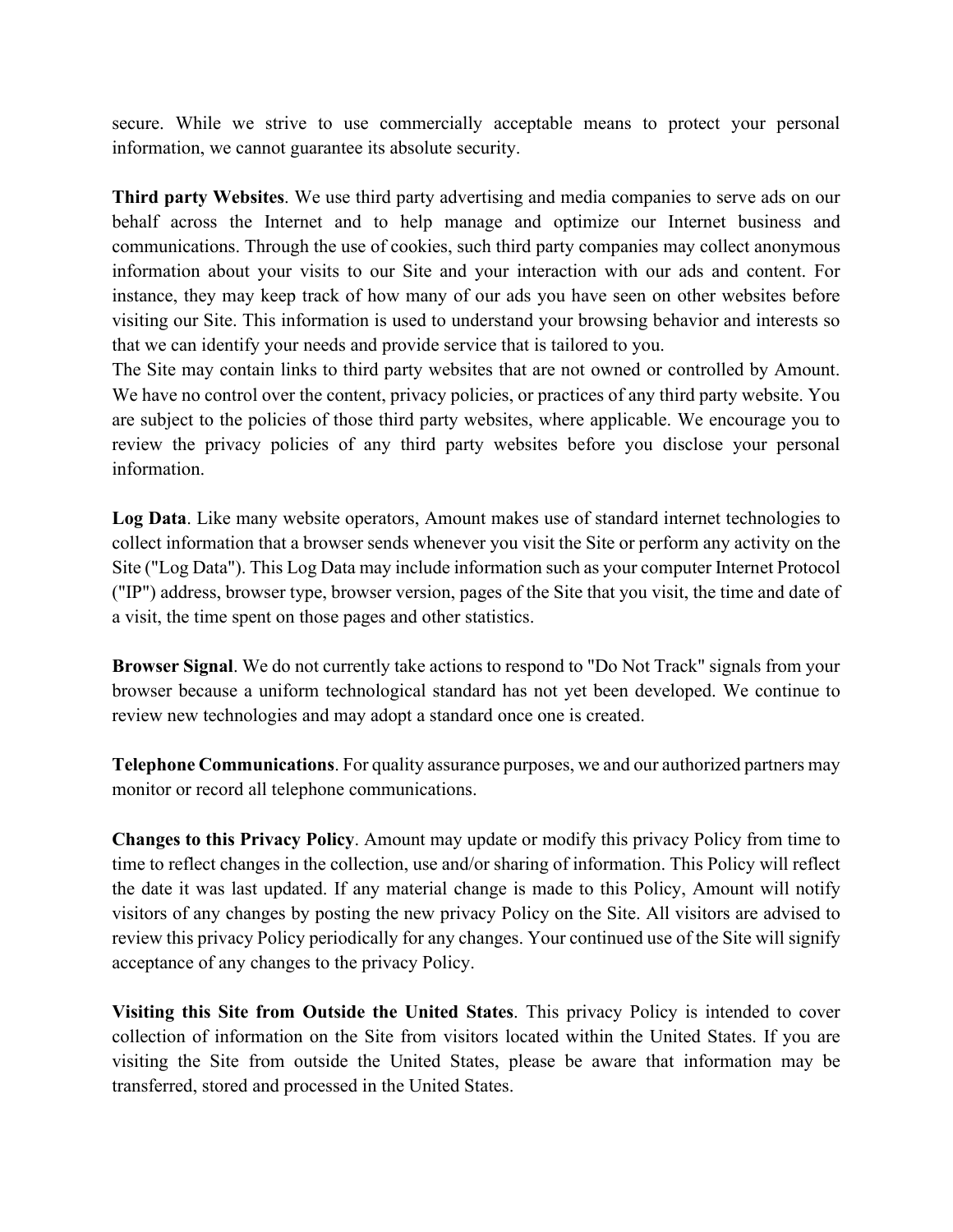secure. While we strive to use commercially acceptable means to protect your personal information, we cannot guarantee its absolute security.

**Third party Websites**. We use third party advertising and media companies to serve ads on our behalf across the Internet and to help manage and optimize our Internet business and communications. Through the use of cookies, such third party companies may collect anonymous information about your visits to our Site and your interaction with our ads and content. For instance, they may keep track of how many of our ads you have seen on other websites before visiting our Site. This information is used to understand your browsing behavior and interests so that we can identify your needs and provide service that is tailored to you.

The Site may contain links to third party websites that are not owned or controlled by Amount. We have no control over the content, privacy policies, or practices of any third party website. You are subject to the policies of those third party websites, where applicable. We encourage you to review the privacy policies of any third party websites before you disclose your personal information.

**Log Data**. Like many website operators, Amount makes use of standard internet technologies to collect information that a browser sends whenever you visit the Site or perform any activity on the Site ("Log Data"). This Log Data may include information such as your computer Internet Protocol ("IP") address, browser type, browser version, pages of the Site that you visit, the time and date of a visit, the time spent on those pages and other statistics.

**Browser Signal**. We do not currently take actions to respond to "Do Not Track" signals from your browser because a uniform technological standard has not yet been developed. We continue to review new technologies and may adopt a standard once one is created.

**Telephone Communications**. For quality assurance purposes, we and our authorized partners may monitor or record all telephone communications.

**Changes to this Privacy Policy**. Amount may update or modify this privacy Policy from time to time to reflect changes in the collection, use and/or sharing of information. This Policy will reflect the date it was last updated. If any material change is made to this Policy, Amount will notify visitors of any changes by posting the new privacy Policy on the Site. All visitors are advised to review this privacy Policy periodically for any changes. Your continued use of the Site will signify acceptance of any changes to the privacy Policy.

**Visiting this Site from Outside the United States**. This privacy Policy is intended to cover collection of information on the Site from visitors located within the United States. If you are visiting the Site from outside the United States, please be aware that information may be transferred, stored and processed in the United States.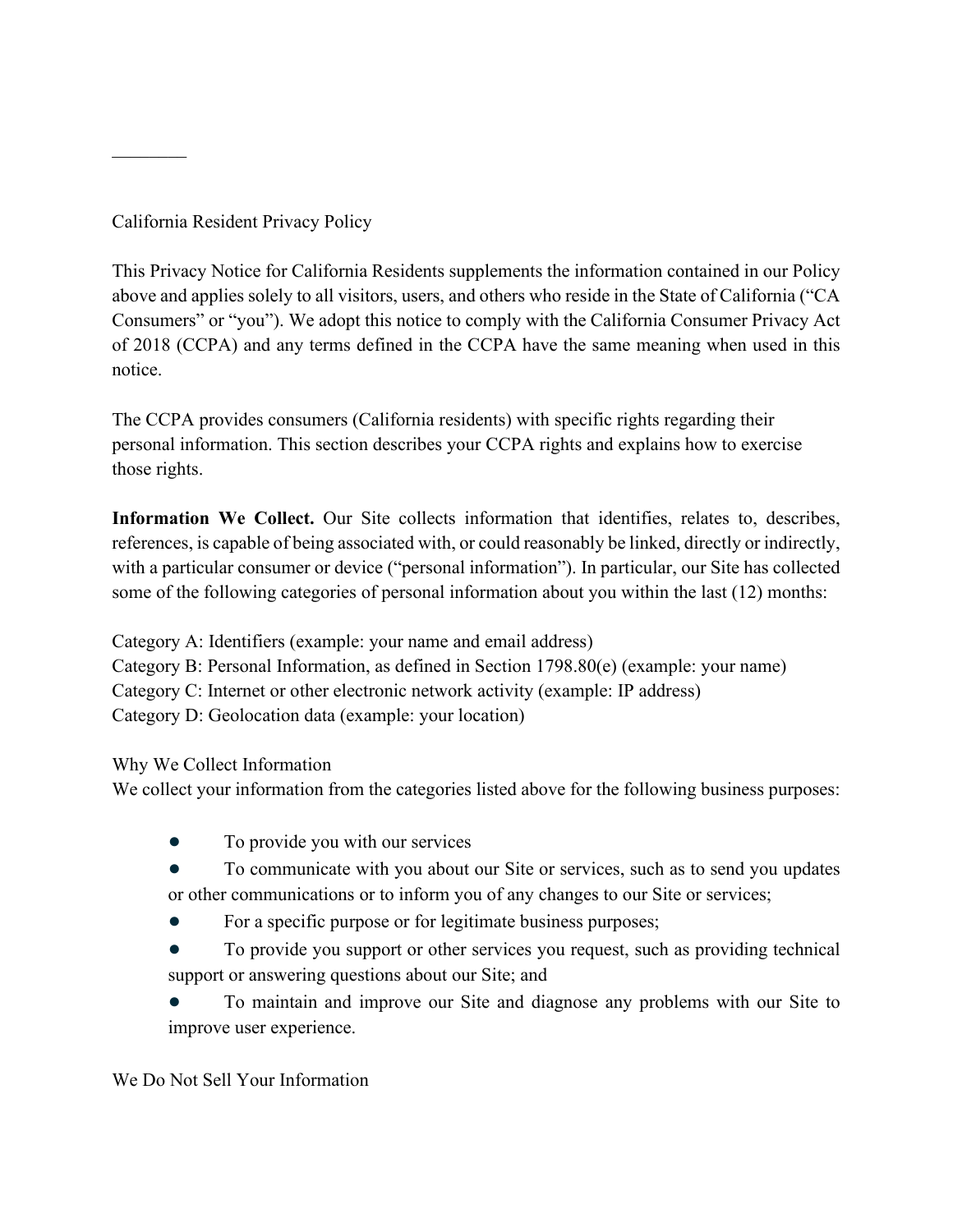California Resident Privacy Policy

 $\mathcal{L}_\text{max}$ 

This Privacy Notice for California Residents supplements the information contained in our Policy above and applies solely to all visitors, users, and others who reside in the State of California ("CA Consumers" or "you"). We adopt this notice to comply with the California Consumer Privacy Act of 2018 (CCPA) and any terms defined in the CCPA have the same meaning when used in this notice.

The CCPA provides consumers (California residents) with specific rights regarding their personal information. This section describes your CCPA rights and explains how to exercise those rights.

**Information We Collect.** Our Site collects information that identifies, relates to, describes, references, is capable of being associated with, or could reasonably be linked, directly or indirectly, with a particular consumer or device ("personal information"). In particular, our Site has collected some of the following categories of personal information about you within the last (12) months:

Category A: Identifiers (example: your name and email address) Category B: Personal Information, as defined in Section 1798.80(e) (example: your name) Category C: Internet or other electronic network activity (example: IP address) Category D: Geolocation data (example: your location)

Why We Collect Information

We collect your information from the categories listed above for the following business purposes:

- To provide you with our services
- To communicate with you about our Site or services, such as to send you updates or other communications or to inform you of any changes to our Site or services;
- For a specific purpose or for legitimate business purposes;
- To provide you support or other services you request, such as providing technical support or answering questions about our Site; and

To maintain and improve our Site and diagnose any problems with our Site to improve user experience.

We Do Not Sell Your Information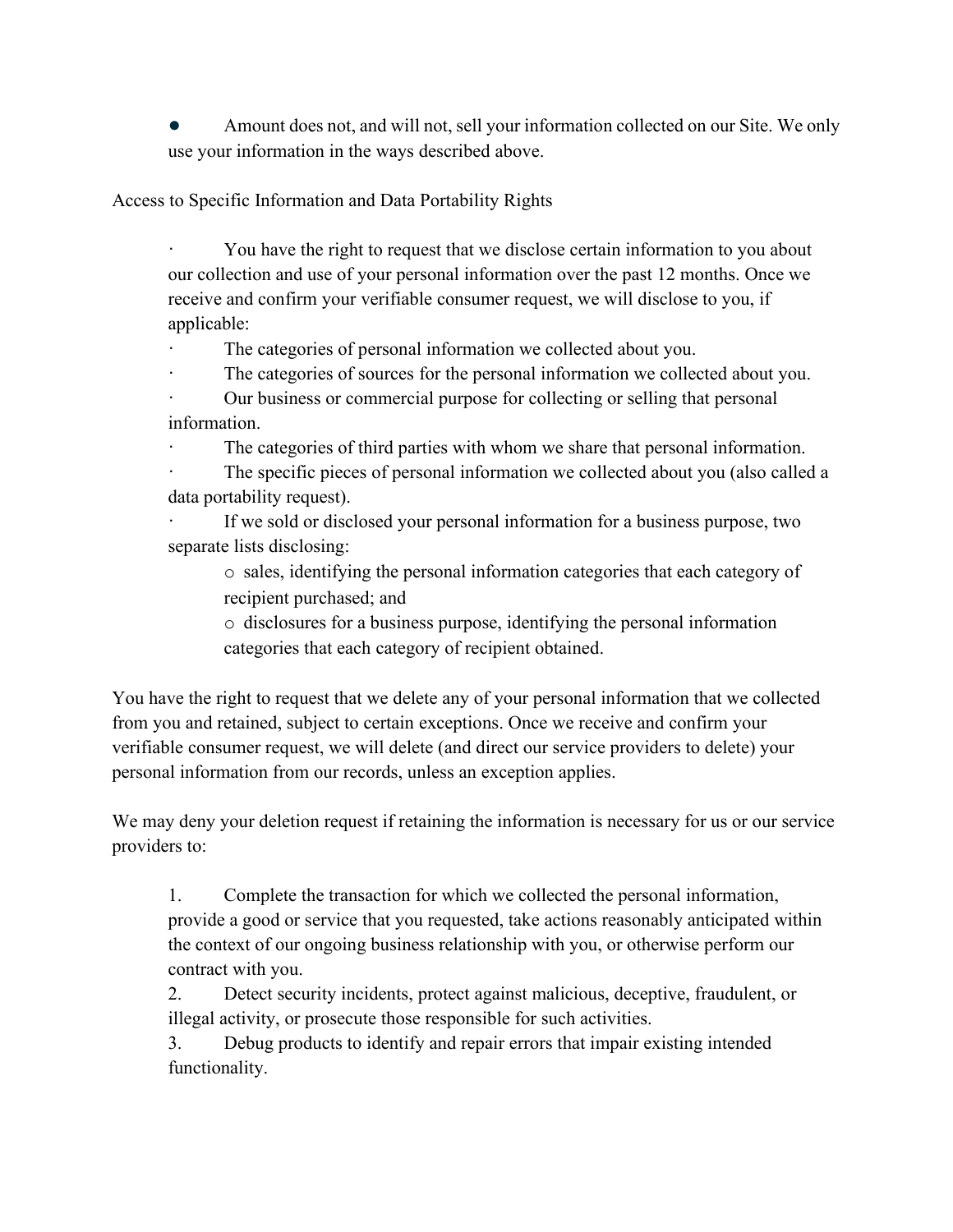Amount does not, and will not, sell your information collected on our Site. We only use your information in the ways described above.

Access to Specific Information and Data Portability Rights

· You have the right to request that we disclose certain information to you about our collection and use of your personal information over the past 12 months. Once we receive and confirm your verifiable consumer request, we will disclose to you, if applicable:

The categories of personal information we collected about you.

The categories of sources for the personal information we collected about you.

Our business or commercial purpose for collecting or selling that personal information.

The categories of third parties with whom we share that personal information.

The specific pieces of personal information we collected about you (also called a data portability request).

If we sold or disclosed your personal information for a business purpose, two separate lists disclosing:

o sales, identifying the personal information categories that each category of recipient purchased; and

o disclosures for a business purpose, identifying the personal information categories that each category of recipient obtained.

You have the right to request that we delete any of your personal information that we collected from you and retained, subject to certain exceptions. Once we receive and confirm your verifiable consumer request, we will delete (and direct our service providers to delete) your personal information from our records, unless an exception applies.

We may deny your deletion request if retaining the information is necessary for us or our service providers to:

1. Complete the transaction for which we collected the personal information, provide a good or service that you requested, take actions reasonably anticipated within the context of our ongoing business relationship with you, or otherwise perform our contract with you.

2. Detect security incidents, protect against malicious, deceptive, fraudulent, or illegal activity, or prosecute those responsible for such activities.

3. Debug products to identify and repair errors that impair existing intended functionality.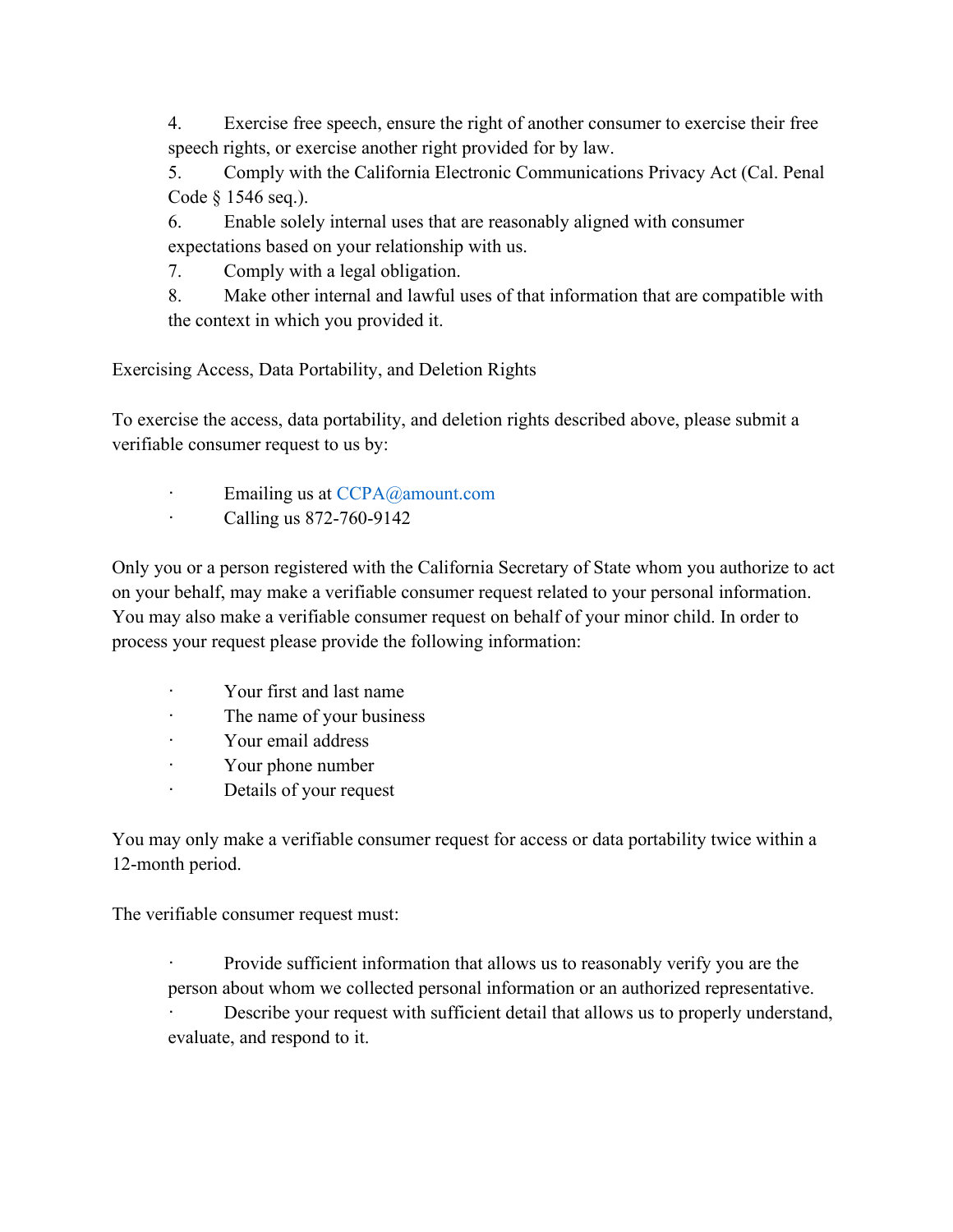4. Exercise free speech, ensure the right of another consumer to exercise their free speech rights, or exercise another right provided for by law.

5. Comply with the California Electronic Communications Privacy Act (Cal. Penal Code § 1546 seq.).

6. Enable solely internal uses that are reasonably aligned with consumer expectations based on your relationship with us.

7. Comply with a legal obligation.

8. Make other internal and lawful uses of that information that are compatible with the context in which you provided it.

Exercising Access, Data Portability, and Deletion Rights

To exercise the access, data portability, and deletion rights described above, please submit a verifiable consumer request to us by:

- Emailing us at CCPA@amount.com
- · Calling us 872-760-9142

Only you or a person registered with the California Secretary of State whom you authorize to act on your behalf, may make a verifiable consumer request related to your personal information. You may also make a verifiable consumer request on behalf of your minor child. In order to process your request please provide the following information:

- · Your first and last name
- · The name of your business
- · Your email address
- · Your phone number
- · Details of your request

You may only make a verifiable consumer request for access or data portability twice within a 12-month period.

The verifiable consumer request must:

Provide sufficient information that allows us to reasonably verify you are the person about whom we collected personal information or an authorized representative. Describe your request with sufficient detail that allows us to properly understand, evaluate, and respond to it.